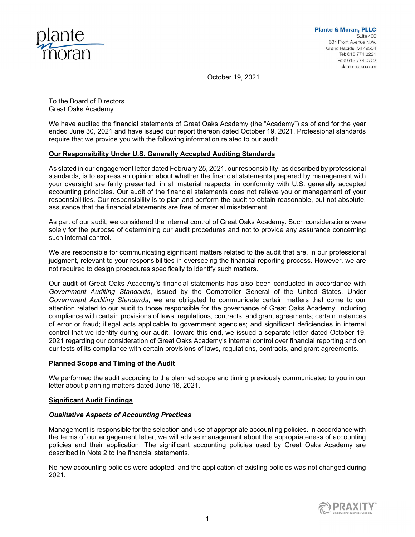

October 19, 2021

To the Board of Directors Great Oaks Academy

We have audited the financial statements of Great Oaks Academy (the "Academy") as of and for the year ended June 30, 2021 and have issued our report thereon dated October 19, 2021. Professional standards require that we provide you with the following information related to our audit.

# **Our Responsibility Under U.S. Generally Accepted Auditing Standards**

As stated in our engagement letter dated February 25, 2021, our responsibility, as described by professional standards, is to express an opinion about whether the financial statements prepared by management with your oversight are fairly presented, in all material respects, in conformity with U.S. generally accepted accounting principles. Our audit of the financial statements does not relieve you or management of your responsibilities. Our responsibility is to plan and perform the audit to obtain reasonable, but not absolute, assurance that the financial statements are free of material misstatement.

As part of our audit, we considered the internal control of Great Oaks Academy. Such considerations were solely for the purpose of determining our audit procedures and not to provide any assurance concerning such internal control.

We are responsible for communicating significant matters related to the audit that are, in our professional judgment, relevant to your responsibilities in overseeing the financial reporting process. However, we are not required to design procedures specifically to identify such matters.

Our audit of Great Oaks Academy's financial statements has also been conducted in accordance with *Government Auditing Standards*, issued by the Comptroller General of the United States. Under *Government Auditing Standards*, we are obligated to communicate certain matters that come to our attention related to our audit to those responsible for the governance of Great Oaks Academy, including compliance with certain provisions of laws, regulations, contracts, and grant agreements; certain instances of error or fraud; illegal acts applicable to government agencies; and significant deficiencies in internal control that we identify during our audit. Toward this end, we issued a separate letter dated October 19, 2021 regarding our consideration of Great Oaks Academy's internal control over financial reporting and on our tests of its compliance with certain provisions of laws, regulations, contracts, and grant agreements.

## **Planned Scope and Timing of the Audit**

We performed the audit according to the planned scope and timing previously communicated to you in our letter about planning matters dated June 16, 2021.

## **Significant Audit Findings**

## *Qualitative Aspects of Accounting Practices*

Management is responsible for the selection and use of appropriate accounting policies. In accordance with the terms of our engagement letter, we will advise management about the appropriateness of accounting policies and their application. The significant accounting policies used by Great Oaks Academy are described in Note 2 to the financial statements.

No new accounting policies were adopted, and the application of existing policies was not changed during 2021.

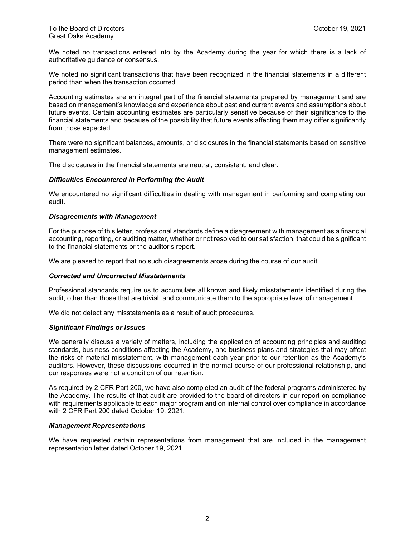We noted no transactions entered into by the Academy during the year for which there is a lack of authoritative guidance or consensus.

We noted no significant transactions that have been recognized in the financial statements in a different period than when the transaction occurred.

Accounting estimates are an integral part of the financial statements prepared by management and are based on management's knowledge and experience about past and current events and assumptions about future events. Certain accounting estimates are particularly sensitive because of their significance to the financial statements and because of the possibility that future events affecting them may differ significantly from those expected.

There were no significant balances, amounts, or disclosures in the financial statements based on sensitive management estimates.

The disclosures in the financial statements are neutral, consistent, and clear.

## *Difficulties Encountered in Performing the Audit*

We encountered no significant difficulties in dealing with management in performing and completing our audit.

### *Disagreements with Management*

For the purpose of this letter, professional standards define a disagreement with management as a financial accounting, reporting, or auditing matter, whether or not resolved to our satisfaction, that could be significant to the financial statements or the auditor's report.

We are pleased to report that no such disagreements arose during the course of our audit.

## *Corrected and Uncorrected Misstatements*

Professional standards require us to accumulate all known and likely misstatements identified during the audit, other than those that are trivial, and communicate them to the appropriate level of management.

We did not detect any misstatements as a result of audit procedures.

#### *Significant Findings or Issues*

We generally discuss a variety of matters, including the application of accounting principles and auditing standards, business conditions affecting the Academy, and business plans and strategies that may affect the risks of material misstatement, with management each year prior to our retention as the Academy's auditors. However, these discussions occurred in the normal course of our professional relationship, and our responses were not a condition of our retention.

As required by 2 CFR Part 200, we have also completed an audit of the federal programs administered by the Academy. The results of that audit are provided to the board of directors in our report on compliance with requirements applicable to each major program and on internal control over compliance in accordance with 2 CFR Part 200 dated October 19, 2021.

## *Management Representations*

We have requested certain representations from management that are included in the management representation letter dated October 19, 2021.